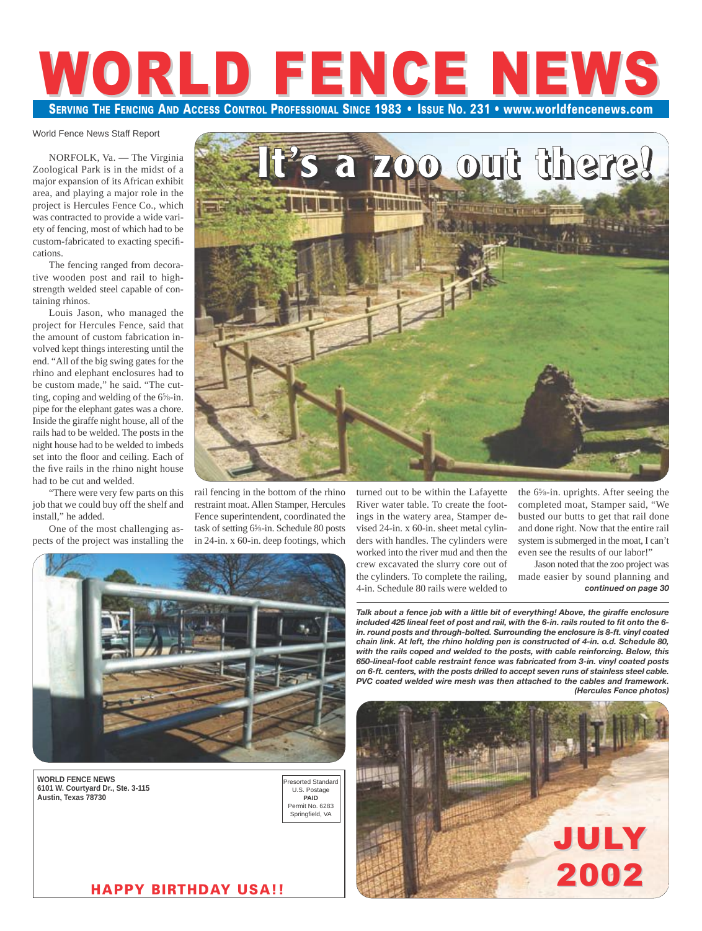# **SERVING THE FENCING AND ACCESS CONTROL PROFESSIONAL SINCE 1983 • ISSUE NO. 231 • www.worldfencenews.com** WORLD FENCE NEW

#### World Fence News Staff Report

NORFOLK, Va. — The Virginia Zoological Park is in the midst of a major expansion of its African exhibit area, and playing a major role in the project is Hercules Fence Co., which was contracted to provide a wide variety of fencing, most of which had to be custom-fabricated to exacting specifications.

The fencing ranged from decorative wooden post and rail to highstrength welded steel capable of containing rhinos.

Louis Jason, who managed the project for Hercules Fence, said that the amount of custom fabrication involved kept things interesting until the end. "All of the big swing gates for the rhino and elephant enclosures had to be custom made," he said. "The cutting, coping and welding of the 65 ⁄8-in. pipe for the elephant gates was a chore. Inside the giraffe night house, all of the rails had to be welded. The posts in the night house had to be welded to imbeds set into the floor and ceiling. Each of the five rails in the rhino night house had to be cut and welded.

"There were very few parts on this job that we could buy off the shelf and install," he added.

One of the most challenging aspects of the project was installing the rail fencing in the bottom of the rhino restraint moat. Allen Stamper, Hercules Fence superintendent, coordinated the task of setting 65 ⁄8-in. Schedule 80 posts in 24-in. x 60-in. deep footings, which



**WORLD FENCE NEWS 6101 W. Courtyard Dr., Ste. 3-115 Austin, Texas 78730**



**It's a zoo out there!**

turned out to be within the Lafayette River water table. To create the footings in the watery area, Stamper devised 24-in. x 60-in. sheet metal cylinders with handles. The cylinders were worked into the river mud and then the crew excavated the slurry core out of the cylinders. To complete the railing, 4-in. Schedule 80 rails were welded to

the 65 ⁄8-in. uprights. After seeing the completed moat, Stamper said, "We busted our butts to get that rail done and done right. Now that the entire rail system is submerged in the moat, I can't even see the results of our labor!"

Jason noted that the zoo project was made easier by sound planning and *continued on page 30*

*Talk about a fence job with a little bit of everything! Above, the giraffe enclosure included 425 lineal feet of post and rail, with the 6-in. rails routed to fit onto the 6 in. round posts and through-bolted. Surrounding the enclosure is 8-ft. vinyl coated chain link. At left, the rhino holding pen is constructed of 4-in. o.d. Schedule 80, with the rails coped and welded to the posts, with cable reinforcing. Below, this 650-lineal-foot cable restraint fence was fabricated from 3-in. vinyl coated posts on 6-ft. centers, with the posts drilled to accept seven runs of stainless steel cable. PVC coated welded wire mesh was then attached to the cables and framework. (Hercules Fence photos)*



**HAPPY BIRTHDAY USA!!**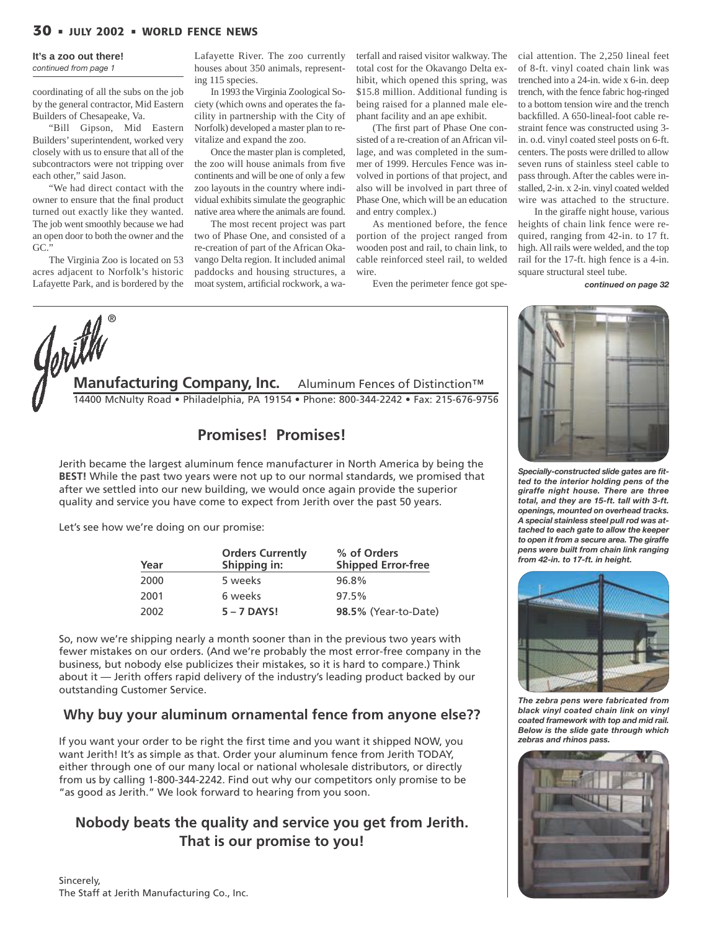## **30 JULY 2002 WORLD FENCE NEWS**

#### **It's a zoo out there!**

*continued from page 1*

coordinating of all the subs on the job by the general contractor, Mid Eastern Builders of Chesapeake, Va.

"Bill Gipson, Mid Eastern Builders' superintendent, worked very closely with us to ensure that all of the subcontractors were not tripping over each other," said Jason.

"We had direct contact with the owner to ensure that the final product turned out exactly like they wanted. The job went smoothly because we had an open door to both the owner and the GC."

The Virginia Zoo is located on 53 acres adjacent to Norfolk's historic Lafayette Park, and is bordered by the Lafayette River. The zoo currently houses about 350 animals, representing 115 species.

In 1993 the Virginia Zoological Society (which owns and operates the facility in partnership with the City of Norfolk) developed a master plan to revitalize and expand the zoo.

Once the master plan is completed, the zoo will house animals from five continents and will be one of only a few zoo layouts in the country where individual exhibits simulate the geographic native area where the animals are found.

The most recent project was part two of Phase One, and consisted of a re-creation of part of the African Okavango Delta region. It included animal paddocks and housing structures, a moat system, artificial rockwork, a waterfall and raised visitor walkway. The total cost for the Okavango Delta exhibit, which opened this spring, was \$15.8 million. Additional funding is being raised for a planned male elephant facility and an ape exhibit.

(The first part of Phase One consisted of a re-creation of an African village, and was completed in the summer of 1999. Hercules Fence was involved in portions of that project, and also will be involved in part three of Phase One, which will be an education and entry complex.)

As mentioned before, the fence portion of the project ranged from wooden post and rail, to chain link, to cable reinforced steel rail, to welded wire.

Even the perimeter fence got spe-

cial attention. The 2,250 lineal feet of 8-ft. vinyl coated chain link was trenched into a 24-in. wide x 6-in. deep trench, with the fence fabric hog-ringed to a bottom tension wire and the trench backfilled. A 650-lineal-foot cable restraint fence was constructed using 3 in. o.d. vinyl coated steel posts on 6-ft. centers. The posts were drilled to allow seven runs of stainless steel cable to pass through. After the cables were installed, 2-in. x 2-in. vinyl coated welded wire was attached to the structure.

In the giraffe night house, various heights of chain link fence were required, ranging from 42-in. to 17 ft. high. All rails were welded, and the top rail for the 17-ft. high fence is a 4-in. square structural steel tube.

*continued on page 32*



## **Promises! Promises!**

Jerith became the largest aluminum fence manufacturer in North America by being the **BEST!** While the past two years were not up to our normal standards, we promised that after we settled into our new building, we would once again provide the superior quality and service you have come to expect from Jerith over the past 50 years.

Let's see how we're doing on our promise:

| Year | <b>Orders Currently</b><br>Shipping in: | % of Orders<br><b>Shipped Error-free</b> |
|------|-----------------------------------------|------------------------------------------|
| 2000 | 5 weeks                                 | 96.8%                                    |
| 2001 | 6 weeks                                 | 97.5%                                    |
| 2002 | $5 - 7$ DAYS!                           | 98.5% (Year-to-Date)                     |

So, now we're shipping nearly a month sooner than in the previous two years with fewer mistakes on our orders. (And we're probably the most error-free company in the business, but nobody else publicizes their mistakes, so it is hard to compare.) Think about it — Jerith offers rapid delivery of the industry's leading product backed by our outstanding Customer Service.

## **Why buy your aluminum ornamental fence from anyone else??**

If you want your order to be right the first time and you want it shipped NOW, you want Jerith! It's as simple as that. Order your aluminum fence from Jerith TODAY, either through one of our many local or national wholesale distributors, or directly from us by calling 1-800-344-2242. Find out why our competitors only promise to be "as good as Jerith." We look forward to hearing from you soon.

# **Nobody beats the quality and service you get from Jerith. That is our promise to you!**



*Specially-constructed slide gates are fitted to the interior holding pens of the giraffe night house. There are three total, and they are 15-ft. tall with 3-ft. openings, mounted on overhead tracks. A special stainless steel pull rod was attached to each gate to allow the keeper to open it from a secure area. The giraffe pens were built from chain link ranging from 42-in. to 17-ft. in height.*



*The zebra pens were fabricated from black vinyl coated chain link on vinyl coated framework with top and mid rail. Below is the slide gate through which zebras and rhinos pass.*